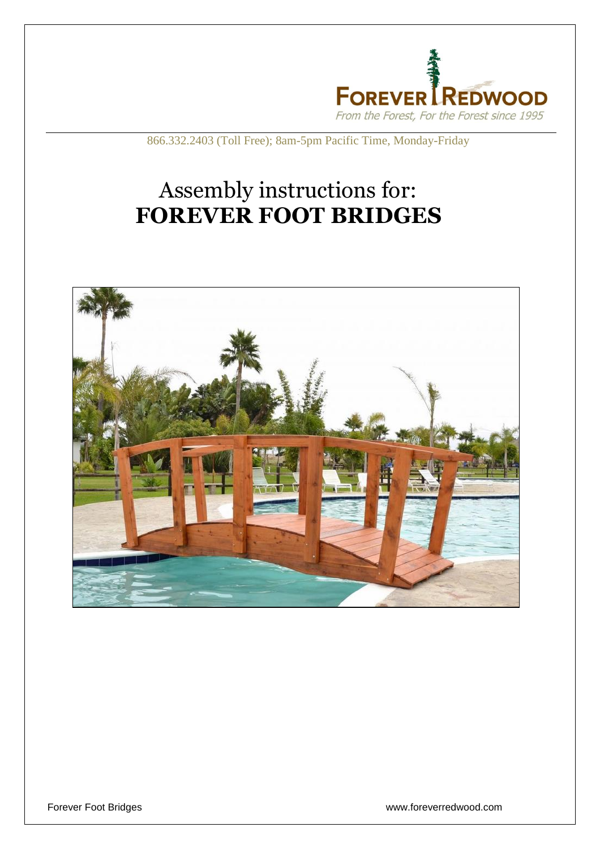

866.332.2403 (Toll Free); 8am-5pm Pacific Time, Monday-Friday

## Assembly instructions for: **FOREVER FOOT BRIDGES**



Forever Foot Bridges www.foreverredwood.com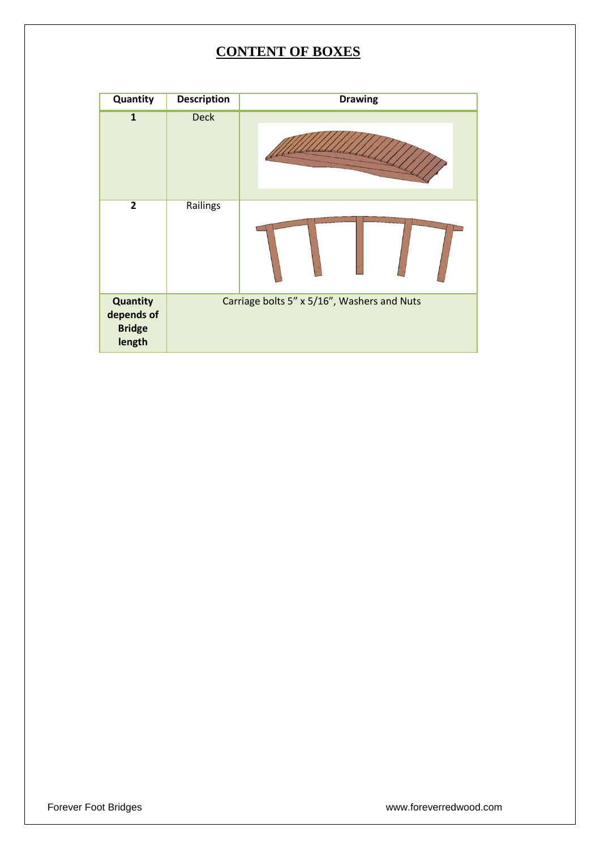## **CONTENT OF BOXES**

| Quantity                                          | <b>Description</b>                          | <b>Drawing</b> |
|---------------------------------------------------|---------------------------------------------|----------------|
| $\mathbf{1}$                                      | <b>Deck</b>                                 |                |
| $\overline{2}$                                    | Railings                                    |                |
| Quantity<br>depends of<br><b>Bridge</b><br>length | Carriage bolts 5" x 5/16", Washers and Nuts |                |